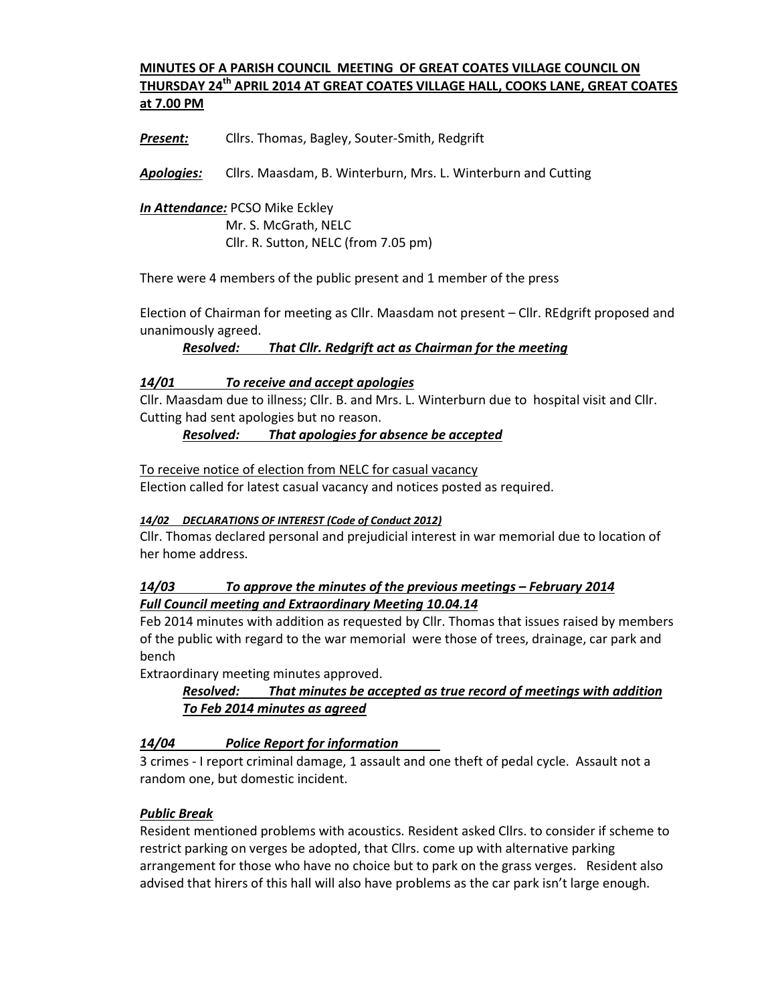### **MINUTES OF A PARISH COUNCIL MEETING OF GREAT COATES VILLAGE COUNCIL ON THURSDAY 24th APRIL 2014 AT GREAT COATES VILLAGE HALL, COOKS LANE, GREAT COATES at 7.00 PM**

*Present:* Cllrs. Thomas, Bagley, Souter-Smith, Redgrift

*Apologies:* Cllrs. Maasdam, B. Winterburn, Mrs. L. Winterburn and Cutting

*In Attendance:* PCSO Mike Eckley Mr. S. McGrath, NELC Cllr. R. Sutton, NELC (from 7.05 pm)

There were 4 members of the public present and 1 member of the press

Election of Chairman for meeting as Cllr. Maasdam not present – Cllr. REdgrift proposed and unanimously agreed.

*Resolved: That Cllr. Redgrift act as Chairman for the meeting* 

#### *14/01 To receive and accept apologies*

Cllr. Maasdam due to illness; Cllr. B. and Mrs. L. Winterburn due to hospital visit and Cllr. Cutting had sent apologies but no reason.

*Resolved: That apologies for absence be accepted* 

To receive notice of election from NELC for casual vacancy Election called for latest casual vacancy and notices posted as required.

#### *14/02 DECLARATIONS OF INTEREST (Code of Conduct 2012)*

Cllr. Thomas declared personal and prejudicial interest in war memorial due to location of her home address.

### *14/03 To approve the minutes of the previous meetings – February 2014 Full Council meeting and Extraordinary Meeting 10.04.14*

Feb 2014 minutes with addition as requested by Cllr. Thomas that issues raised by members of the public with regard to the war memorial were those of trees, drainage, car park and bench

Extraordinary meeting minutes approved.

## *Resolved: That minutes be accepted as true record of meetings with addition To Feb 2014 minutes as agreed*

### *14/04 Police Report for information*

3 crimes - I report criminal damage, 1 assault and one theft of pedal cycle. Assault not a random one, but domestic incident.

### *Public Break*

Resident mentioned problems with acoustics. Resident asked Cllrs. to consider if scheme to restrict parking on verges be adopted, that Cllrs. come up with alternative parking arrangement for those who have no choice but to park on the grass verges. Resident also advised that hirers of this hall will also have problems as the car park isn't large enough.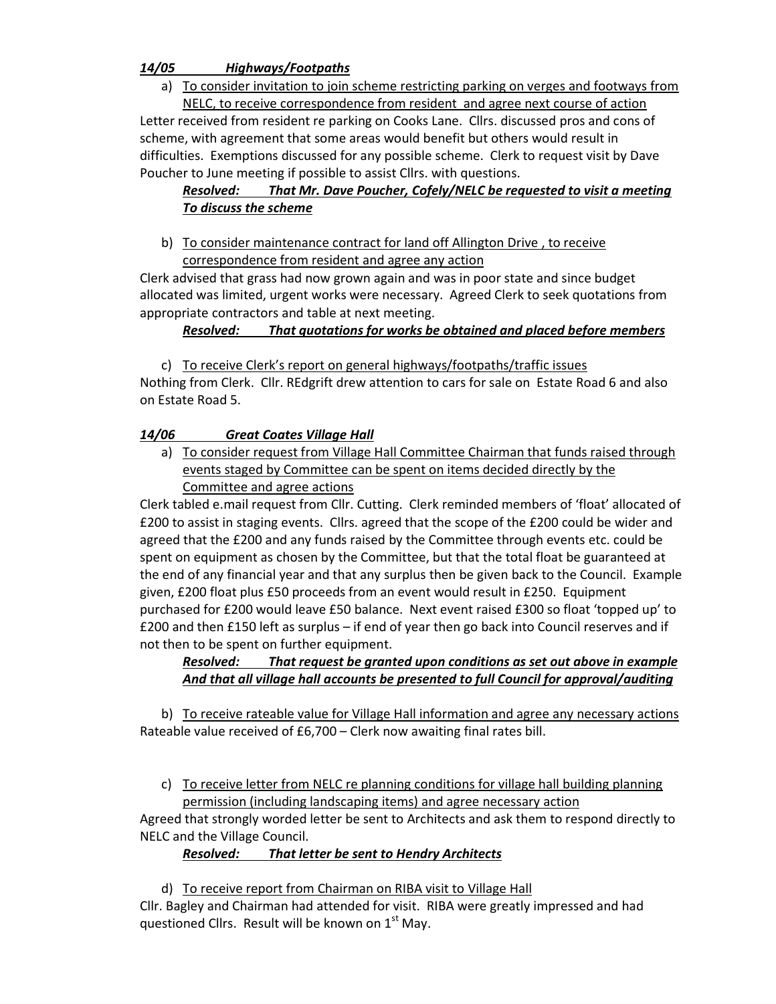### *14/05 Highways/Footpaths*

a) To consider invitation to join scheme restricting parking on verges and footways from NELC, to receive correspondence from resident and agree next course of action

Letter received from resident re parking on Cooks Lane. Cllrs. discussed pros and cons of scheme, with agreement that some areas would benefit but others would result in difficulties. Exemptions discussed for any possible scheme. Clerk to request visit by Dave Poucher to June meeting if possible to assist Cllrs. with questions.

# *Resolved: That Mr. Dave Poucher, Cofely/NELC be requested to visit a meeting To discuss the scheme*

b) To consider maintenance contract for land off Allington Drive , to receive correspondence from resident and agree any action

Clerk advised that grass had now grown again and was in poor state and since budget allocated was limited, urgent works were necessary. Agreed Clerk to seek quotations from appropriate contractors and table at next meeting.

### *Resolved: That quotations for works be obtained and placed before members*

c) To receive Clerk's report on general highways/footpaths/traffic issues

Nothing from Clerk. Cllr. REdgrift drew attention to cars for sale on Estate Road 6 and also on Estate Road 5.

## *14/06 Great Coates Village Hall*

a) To consider request from Village Hall Committee Chairman that funds raised through events staged by Committee can be spent on items decided directly by the Committee and agree actions

Clerk tabled e.mail request from Cllr. Cutting. Clerk reminded members of 'float' allocated of £200 to assist in staging events. Cllrs. agreed that the scope of the £200 could be wider and agreed that the £200 and any funds raised by the Committee through events etc. could be spent on equipment as chosen by the Committee, but that the total float be guaranteed at the end of any financial year and that any surplus then be given back to the Council. Example given, £200 float plus £50 proceeds from an event would result in £250. Equipment purchased for £200 would leave £50 balance. Next event raised £300 so float 'topped up' to £200 and then £150 left as surplus – if end of year then go back into Council reserves and if not then to be spent on further equipment.

### *Resolved: That request be granted upon conditions as set out above in example And that all village hall accounts be presented to full Council for approval/auditing*

b) To receive rateable value for Village Hall information and agree any necessary actions Rateable value received of £6,700 – Clerk now awaiting final rates bill.

c) To receive letter from NELC re planning conditions for village hall building planning permission (including landscaping items) and agree necessary action

Agreed that strongly worded letter be sent to Architects and ask them to respond directly to NELC and the Village Council.

## *Resolved: That letter be sent to Hendry Architects*

d) To receive report from Chairman on RIBA visit to Village Hall Cllr. Bagley and Chairman had attended for visit. RIBA were greatly impressed and had questioned Cllrs. Result will be known on  $1<sup>st</sup>$  May.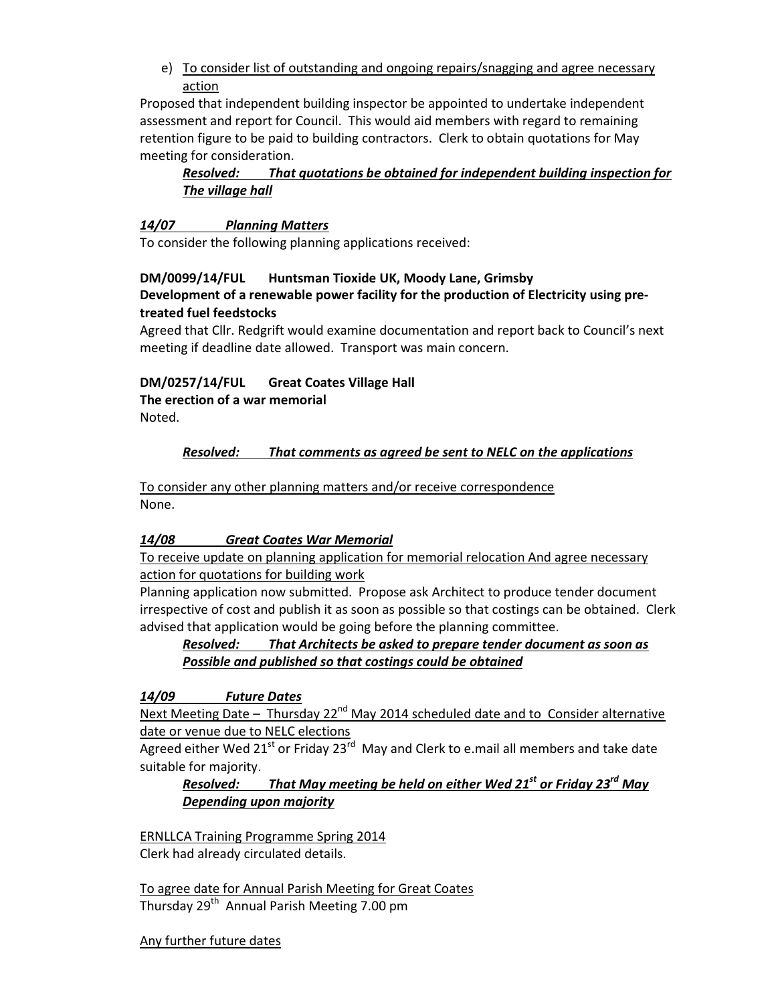e) To consider list of outstanding and ongoing repairs/snagging and agree necessary action

Proposed that independent building inspector be appointed to undertake independent assessment and report for Council. This would aid members with regard to remaining retention figure to be paid to building contractors. Clerk to obtain quotations for May meeting for consideration.

### *Resolved: That quotations be obtained for independent building inspection for The village hall*

### *14/07 Planning Matters*

To consider the following planning applications received:

### **DM/0099/14/FUL Huntsman Tioxide UK, Moody Lane, Grimsby**

#### **Development of a renewable power facility for the production of Electricity using pretreated fuel feedstocks**

Agreed that Cllr. Redgrift would examine documentation and report back to Council's next meeting if deadline date allowed. Transport was main concern.

### **DM/0257/14/FUL Great Coates Village Hall**

**The erection of a war memorial** 

Noted.

### *Resolved: That comments as agreed be sent to NELC on the applications*

To consider any other planning matters and/or receive correspondence None.

### *14/08 Great Coates War Memorial*

To receive update on planning application for memorial relocation And agree necessary action for quotations for building work

Planning application now submitted. Propose ask Architect to produce tender document irrespective of cost and publish it as soon as possible so that costings can be obtained. Clerk advised that application would be going before the planning committee.

## *Resolved: That Architects be asked to prepare tender document as soon as Possible and published so that costings could be obtained*

*14/09 Future Dates* 

Next Meeting Date – Thursday 22<sup>nd</sup> May 2014 scheduled date and to Consider alternative date or venue due to NELC elections

Agreed either Wed 21<sup>st</sup> or Friday 23<sup>rd</sup> May and Clerk to e.mail all members and take date suitable for majority.

### *Resolved: That May meeting be held on either Wed 21st or Friday 23rd May Depending upon majority*

ERNLLCA Training Programme Spring 2014 Clerk had already circulated details.

To agree date for Annual Parish Meeting for Great Coates Thursday 29<sup>th</sup> Annual Parish Meeting 7.00 pm

#### Any further future dates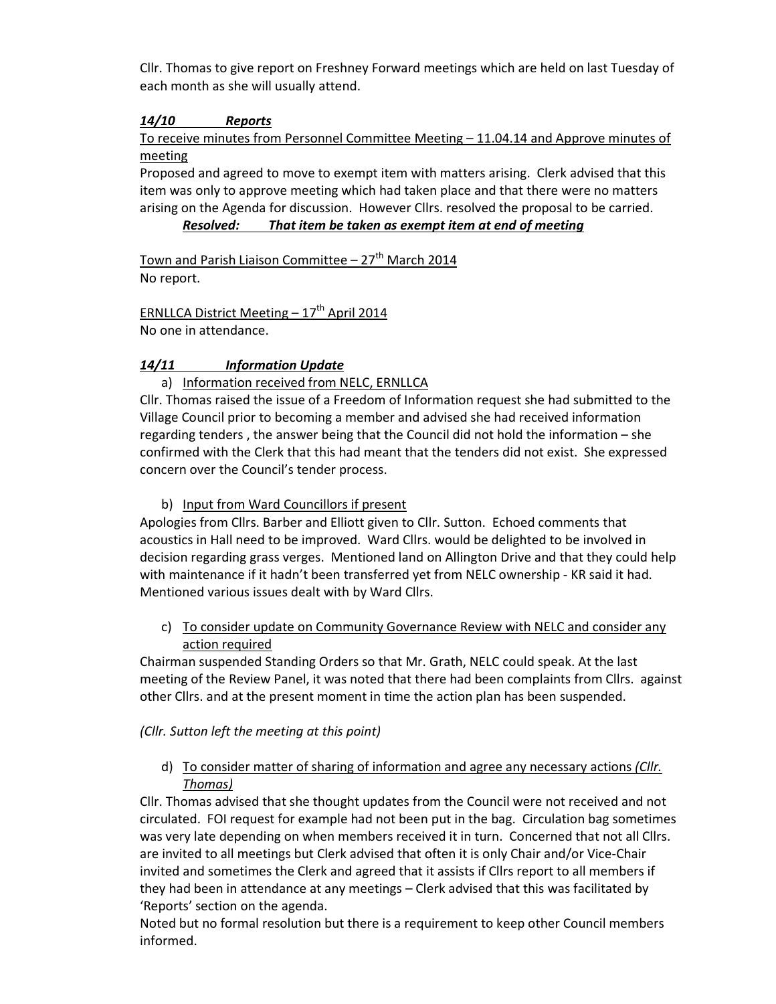Cllr. Thomas to give report on Freshney Forward meetings which are held on last Tuesday of each month as she will usually attend.

## *14/10 Reports*

To receive minutes from Personnel Committee Meeting – 11.04.14 and Approve minutes of meeting

Proposed and agreed to move to exempt item with matters arising. Clerk advised that this item was only to approve meeting which had taken place and that there were no matters arising on the Agenda for discussion. However Cllrs. resolved the proposal to be carried.

#### *Resolved: That item be taken as exempt item at end of meeting*

Town and Parish Liaison Committee  $-27<sup>th</sup>$  March 2014 No report.

ERNLLCA District Meeting  $-17^{th}$  April 2014 No one in attendance.

## *14/11 Information Update*

## a) Information received from NELC, ERNLLCA

Cllr. Thomas raised the issue of a Freedom of Information request she had submitted to the Village Council prior to becoming a member and advised she had received information regarding tenders , the answer being that the Council did not hold the information – she confirmed with the Clerk that this had meant that the tenders did not exist. She expressed concern over the Council's tender process.

b) Input from Ward Councillors if present

Apologies from Cllrs. Barber and Elliott given to Cllr. Sutton. Echoed comments that acoustics in Hall need to be improved. Ward Cllrs. would be delighted to be involved in decision regarding grass verges. Mentioned land on Allington Drive and that they could help with maintenance if it hadn't been transferred yet from NELC ownership - KR said it had. Mentioned various issues dealt with by Ward Cllrs.

c) To consider update on Community Governance Review with NELC and consider any action required

Chairman suspended Standing Orders so that Mr. Grath, NELC could speak. At the last meeting of the Review Panel, it was noted that there had been complaints from Cllrs. against other Cllrs. and at the present moment in time the action plan has been suspended.

### *(Cllr. Sutton left the meeting at this point)*

d) To consider matter of sharing of information and agree any necessary actions *(Cllr. Thomas)*

Cllr. Thomas advised that she thought updates from the Council were not received and not circulated. FOI request for example had not been put in the bag. Circulation bag sometimes was very late depending on when members received it in turn. Concerned that not all Cllrs. are invited to all meetings but Clerk advised that often it is only Chair and/or Vice-Chair invited and sometimes the Clerk and agreed that it assists if Cllrs report to all members if they had been in attendance at any meetings – Clerk advised that this was facilitated by 'Reports' section on the agenda.

Noted but no formal resolution but there is a requirement to keep other Council members informed.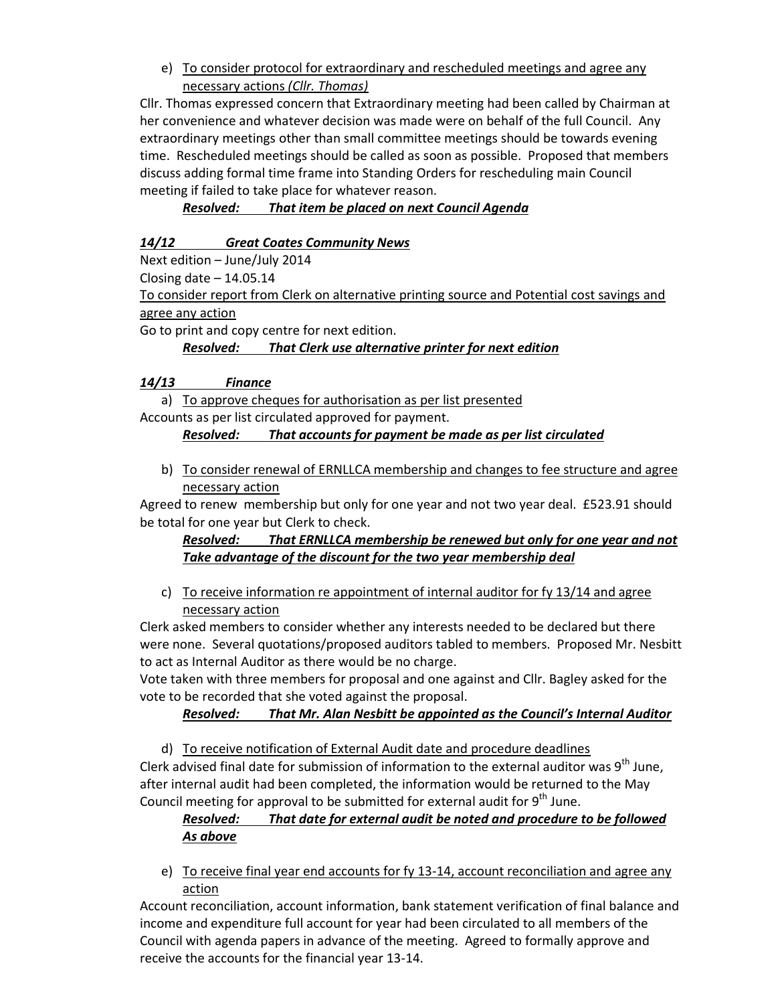e) To consider protocol for extraordinary and rescheduled meetings and agree any necessary actions *(Cllr. Thomas)*

Cllr. Thomas expressed concern that Extraordinary meeting had been called by Chairman at her convenience and whatever decision was made were on behalf of the full Council. Any extraordinary meetings other than small committee meetings should be towards evening time. Rescheduled meetings should be called as soon as possible. Proposed that members discuss adding formal time frame into Standing Orders for rescheduling main Council meeting if failed to take place for whatever reason.

*Resolved: That item be placed on next Council Agenda* 

## *14/12 Great Coates Community News*

Next edition – June/July 2014

Closing date  $-14.05.14$ 

To consider report from Clerk on alternative printing source and Potential cost savings and agree any action

Go to print and copy centre for next edition.

*Resolved: That Clerk use alternative printer for next edition* 

### *14/13 Finance*

a) To approve cheques for authorisation as per list presented

Accounts as per list circulated approved for payment.

### *Resolved: That accounts for payment be made as per list circulated*

b) To consider renewal of ERNLLCA membership and changes to fee structure and agree necessary action

Agreed to renew membership but only for one year and not two year deal. £523.91 should be total for one year but Clerk to check.

## *Resolved: That ERNLLCA membership be renewed but only for one year and not Take advantage of the discount for the two year membership deal*

c) To receive information re appointment of internal auditor for fy  $13/14$  and agree necessary action

Clerk asked members to consider whether any interests needed to be declared but there were none. Several quotations/proposed auditors tabled to members. Proposed Mr. Nesbitt to act as Internal Auditor as there would be no charge.

Vote taken with three members for proposal and one against and Cllr. Bagley asked for the vote to be recorded that she voted against the proposal.

### *Resolved: That Mr. Alan Nesbitt be appointed as the Council's Internal Auditor*

d) To receive notification of External Audit date and procedure deadlines

Clerk advised final date for submission of information to the external auditor was  $9<sup>th</sup>$  June, after internal audit had been completed, the information would be returned to the May Council meeting for approval to be submitted for external audit for  $9<sup>th</sup>$  June.

## *Resolved: That date for external audit be noted and procedure to be followed As above*

e) To receive final year end accounts for fy 13-14, account reconciliation and agree any action

Account reconciliation, account information, bank statement verification of final balance and income and expenditure full account for year had been circulated to all members of the Council with agenda papers in advance of the meeting. Agreed to formally approve and receive the accounts for the financial year 13-14.